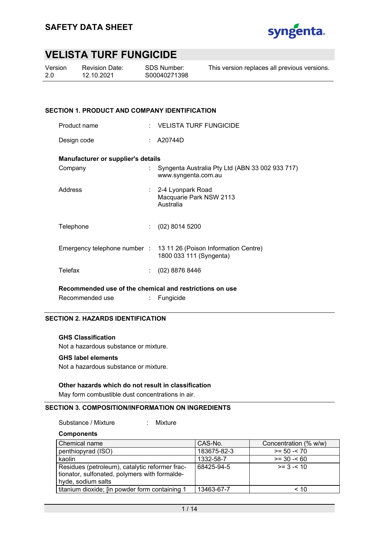

| Version | ь |
|---------|---|
| 2.0     |   |

Revision Date: 12.10.2021

This version replaces all previous versions.

### **SECTION 1. PRODUCT AND COMPANY IDENTIFICATION**

| Product name                                            |    | $\pm$ VELISTA TURF FUNGICIDE                                                                 |  |  |  |
|---------------------------------------------------------|----|----------------------------------------------------------------------------------------------|--|--|--|
| Design code                                             |    | A20744D                                                                                      |  |  |  |
| Manufacturer or supplier's details                      |    |                                                                                              |  |  |  |
| Company                                                 |    | Syngenta Australia Pty Ltd (ABN 33 002 933 717)<br>www.syngenta.com.au                       |  |  |  |
| Address                                                 |    | : 2-4 Lyonpark Road<br>Macquarie Park NSW 2113<br>Australia                                  |  |  |  |
| Telephone                                               | t. | $(02)$ 8014 5200                                                                             |  |  |  |
|                                                         |    | Emergency telephone number : 13 11 26 (Poison Information Centre)<br>1800 033 111 (Syngenta) |  |  |  |
| Telefax                                                 |    | $(02)$ 8876 8446                                                                             |  |  |  |
| Recommended use of the chemical and restrictions on use |    |                                                                                              |  |  |  |

Recommended use : Fungicide

### **SECTION 2. HAZARDS IDENTIFICATION**

### **GHS Classification**

Not a hazardous substance or mixture.

#### **GHS label elements**

Not a hazardous substance or mixture.

### **Other hazards which do not result in classification**

May form combustible dust concentrations in air.

## **SECTION 3. COMPOSITION/INFORMATION ON INGREDIENTS**

Substance / Mixture : Mixture

**Components** 

| Chemical name                                                                                                         | CAS-No.     | Concentration (% w/w) |
|-----------------------------------------------------------------------------------------------------------------------|-------------|-----------------------|
| penthiopyrad (ISO)                                                                                                    | 183675-82-3 | $>= 50 - 70$          |
| kaolin                                                                                                                | 1332-58-7   | $>= 30 - 60$          |
| Residues (petroleum), catalytic reformer frac-<br>tionator, sulfonated, polymers with formalde-<br>hyde, sodium salts | 68425-94-5  | $>= 3 - 10$           |
| titanium dioxide; [in powder form containing 1                                                                        | 13463-67-7  | $~<$ 10               |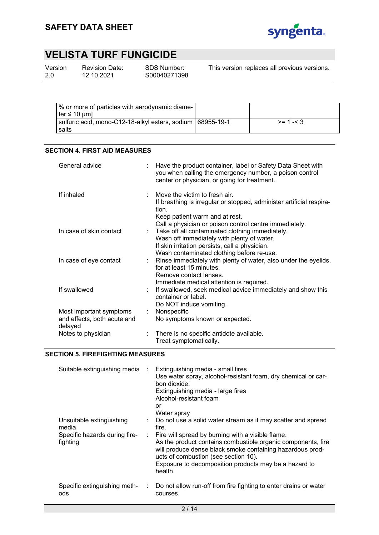

| Version | Re۱  |
|---------|------|
| 2.0     | 12.1 |

vision Date: 12.10.2021

SDS Number: S00040271398 This version replaces all previous versions.

| % or more of particles with aerodynamic diame-<br>$\text{ter} \leq 10 \text{ }\text{µml}$ |            |
|-------------------------------------------------------------------------------------------|------------|
| sulfuric acid, mono-C12-18-alkyl esters, sodium   68955-19-1<br>salts                     | $>= 1 - 3$ |

## **SECTION 4. FIRST AID MEASURES**

| General advice                                                    | Have the product container, label or Safety Data Sheet with<br>you when calling the emergency number, a poison control<br>center or physician, or going for treatment.                                     |
|-------------------------------------------------------------------|------------------------------------------------------------------------------------------------------------------------------------------------------------------------------------------------------------|
| If inhaled                                                        | Move the victim to fresh air.<br>If breathing is irregular or stopped, administer artificial respira-<br>tion.<br>Keep patient warm and at rest.<br>Call a physician or poison control centre immediately. |
| In case of skin contact                                           | : Take off all contaminated clothing immediately.<br>Wash off immediately with plenty of water.<br>If skin irritation persists, call a physician.<br>Wash contaminated clothing before re-use.             |
| In case of eye contact                                            | Rinse immediately with plenty of water, also under the eyelids,<br>for at least 15 minutes.<br>Remove contact lenses.<br>Immediate medical attention is required.                                          |
| If swallowed                                                      | If swallowed, seek medical advice immediately and show this<br>container or label.<br>Do NOT induce vomiting.                                                                                              |
| Most important symptoms<br>and effects, both acute and<br>delayed | Nonspecific<br>No symptoms known or expected.                                                                                                                                                              |
| Notes to physician                                                | There is no specific antidote available.<br>Treat symptomatically.                                                                                                                                         |

## **SECTION 5. FIREFIGHTING MEASURES**

| Suitable extinguishing media                                                   | Extinguishing media - small fires<br>Use water spray, alcohol-resistant foam, dry chemical or car-<br>bon dioxide.<br>Extinguishing media - large fires<br>Alcohol-resistant foam<br>or<br>Water spray                                                                                                                                                                  |
|--------------------------------------------------------------------------------|-------------------------------------------------------------------------------------------------------------------------------------------------------------------------------------------------------------------------------------------------------------------------------------------------------------------------------------------------------------------------|
| Unsuitable extinguishing<br>media<br>Specific hazards during fire-<br>fighting | : Do not use a solid water stream as it may scatter and spread<br>fire.<br>: Fire will spread by burning with a visible flame.<br>As the product contains combustible organic components, fire<br>will produce dense black smoke containing hazardous prod-<br>ucts of combustion (see section 10).<br>Exposure to decomposition products may be a hazard to<br>health. |
| Specific extinguishing meth-<br>ods                                            | : Do not allow run-off from fire fighting to enter drains or water<br>courses.                                                                                                                                                                                                                                                                                          |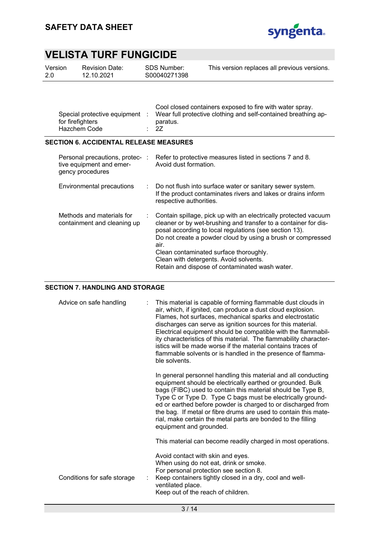

| Version | <b>Revision Date:</b> | SDS Number:  | This version replaces all previous versions. |
|---------|-----------------------|--------------|----------------------------------------------|
| -2.0    | 12.10.2021            | S00040271398 |                                              |
|         |                       |              |                                              |

| Special protective equipment<br>for firefighters<br>Hazchem Code |  | Cool closed containers exposed to fire with water spray.<br>Wear full protective clothing and self-contained breathing ap-<br>paratus.<br>: 27 |
|------------------------------------------------------------------|--|------------------------------------------------------------------------------------------------------------------------------------------------|
|------------------------------------------------------------------|--|------------------------------------------------------------------------------------------------------------------------------------------------|

## **SECTION 6. ACCIDENTAL RELEASE MEASURES**

| Personal precautions, protec- :<br>tive equipment and emer-<br>gency procedures | Refer to protective measures listed in sections 7 and 8.<br>Avoid dust formation.                                                                                                                                                                                                                                                                                                                         |
|---------------------------------------------------------------------------------|-----------------------------------------------------------------------------------------------------------------------------------------------------------------------------------------------------------------------------------------------------------------------------------------------------------------------------------------------------------------------------------------------------------|
| Environmental precautions                                                       | : Do not flush into surface water or sanitary sewer system.<br>If the product contaminates rivers and lakes or drains inform<br>respective authorities.                                                                                                                                                                                                                                                   |
| Methods and materials for<br>containment and cleaning up                        | Contain spillage, pick up with an electrically protected vacuum<br>cleaner or by wet-brushing and transfer to a container for dis-<br>posal according to local regulations (see section 13).<br>Do not create a powder cloud by using a brush or compressed<br>air.<br>Clean contaminated surface thoroughly.<br>Clean with detergents. Avoid solvents.<br>Retain and dispose of contaminated wash water. |

### **SECTION 7. HANDLING AND STORAGE**

| Advice on safe handling     | This material is capable of forming flammable dust clouds in<br>air, which, if ignited, can produce a dust cloud explosion.<br>Flames, hot surfaces, mechanical sparks and electrostatic<br>discharges can serve as ignition sources for this material.<br>Electrical equipment should be compatible with the flammabil-<br>ity characteristics of this material. The flammability character-<br>istics will be made worse if the material contains traces of<br>flammable solvents or is handled in the presence of flamma-<br>ble solvents. |
|-----------------------------|-----------------------------------------------------------------------------------------------------------------------------------------------------------------------------------------------------------------------------------------------------------------------------------------------------------------------------------------------------------------------------------------------------------------------------------------------------------------------------------------------------------------------------------------------|
|                             | In general personnel handling this material and all conducting<br>equipment should be electrically earthed or grounded. Bulk<br>bags (FIBC) used to contain this material should be Type B,<br>Type C or Type D. Type C bags must be electrically ground-<br>ed or earthed before powder is charged to or discharged from<br>the bag. If metal or fibre drums are used to contain this mate-<br>rial, make certain the metal parts are bonded to the filling<br>equipment and grounded.                                                       |
|                             | This material can become readily charged in most operations.                                                                                                                                                                                                                                                                                                                                                                                                                                                                                  |
| Conditions for safe storage | Avoid contact with skin and eyes.<br>When using do not eat, drink or smoke.<br>For personal protection see section 8.<br>Keep containers tightly closed in a dry, cool and well-<br>ventilated place.<br>Keep out of the reach of children.                                                                                                                                                                                                                                                                                                   |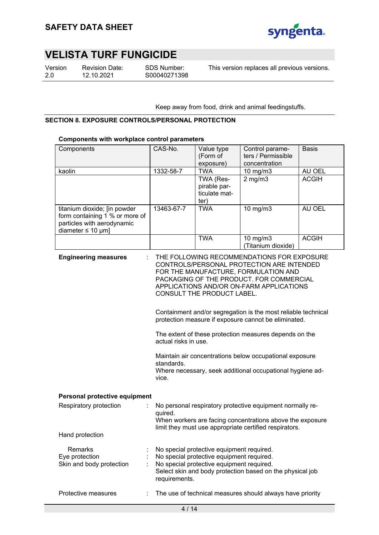

Version 2.0

Revision Date: 12.10.2021

SDS Number: S00040271398

This version replaces all previous versions.

Keep away from food, drink and animal feedingstuffs.

### **SECTION 8. EXPOSURE CONTROLS/PERSONAL PROTECTION**

### **Components with workplace control parameters**

| Components                                                                                                             | CAS-No.                                                                                                                                                                                                                                                                                                                                                                                                                                                                                                                                                                                                         | Value type<br>(Form of<br>exposure)                                                                                                 | Control parame-<br>ters / Permissible<br>concentration    | <b>Basis</b> |  |  |
|------------------------------------------------------------------------------------------------------------------------|-----------------------------------------------------------------------------------------------------------------------------------------------------------------------------------------------------------------------------------------------------------------------------------------------------------------------------------------------------------------------------------------------------------------------------------------------------------------------------------------------------------------------------------------------------------------------------------------------------------------|-------------------------------------------------------------------------------------------------------------------------------------|-----------------------------------------------------------|--------------|--|--|
| kaolin                                                                                                                 | 1332-58-7                                                                                                                                                                                                                                                                                                                                                                                                                                                                                                                                                                                                       | <b>TWA</b>                                                                                                                          | 10 mg/m3                                                  | AU OEL       |  |  |
|                                                                                                                        |                                                                                                                                                                                                                                                                                                                                                                                                                                                                                                                                                                                                                 | TWA (Res-<br>pirable par-<br>ticulate mat-<br>ter)                                                                                  | $2$ mg/m $3$                                              | <b>ACGIH</b> |  |  |
| titanium dioxide; [in powder<br>form containing 1 % or more of<br>particles with aerodynamic<br>diameter $\leq 10$ µm] | 13463-67-7                                                                                                                                                                                                                                                                                                                                                                                                                                                                                                                                                                                                      | <b>TWA</b>                                                                                                                          | 10 mg/m3                                                  | AU OEL       |  |  |
|                                                                                                                        |                                                                                                                                                                                                                                                                                                                                                                                                                                                                                                                                                                                                                 | <b>TWA</b>                                                                                                                          | 10 mg/m3<br>(Titanium dioxide)                            | <b>ACGIH</b> |  |  |
| <b>Engineering measures</b>                                                                                            | THE FOLLOWING RECOMMENDATIONS FOR EXPOSURE<br>CONTROLS/PERSONAL PROTECTION ARE INTENDED<br>FOR THE MANUFACTURE, FORMULATION AND<br>PACKAGING OF THE PRODUCT. FOR COMMERCIAL<br>APPLICATIONS AND/OR ON-FARM APPLICATIONS<br>CONSULT THE PRODUCT LABEL.<br>Containment and/or segregation is the most reliable technical<br>protection measure if exposure cannot be eliminated.<br>The extent of these protection measures depends on the<br>actual risks in use.<br>Maintain air concentrations below occupational exposure<br>standards.<br>Where necessary, seek additional occupational hygiene ad-<br>vice. |                                                                                                                                     |                                                           |              |  |  |
| Personal protective equipment                                                                                          |                                                                                                                                                                                                                                                                                                                                                                                                                                                                                                                                                                                                                 |                                                                                                                                     |                                                           |              |  |  |
| Respiratory protection                                                                                                 | No personal respiratory protective equipment normally re-<br>quired.<br>When workers are facing concentrations above the exposure<br>limit they must use appropriate certified respirators.                                                                                                                                                                                                                                                                                                                                                                                                                     |                                                                                                                                     |                                                           |              |  |  |
| Hand protection                                                                                                        |                                                                                                                                                                                                                                                                                                                                                                                                                                                                                                                                                                                                                 |                                                                                                                                     |                                                           |              |  |  |
| Remarks<br>Eye protection<br>Skin and body protection                                                                  | requirements.                                                                                                                                                                                                                                                                                                                                                                                                                                                                                                                                                                                                   | No special protective equipment required.<br>No special protective equipment required.<br>No special protective equipment required. | Select skin and body protection based on the physical job |              |  |  |
| Protective measures                                                                                                    |                                                                                                                                                                                                                                                                                                                                                                                                                                                                                                                                                                                                                 |                                                                                                                                     | The use of technical measures should always have priority |              |  |  |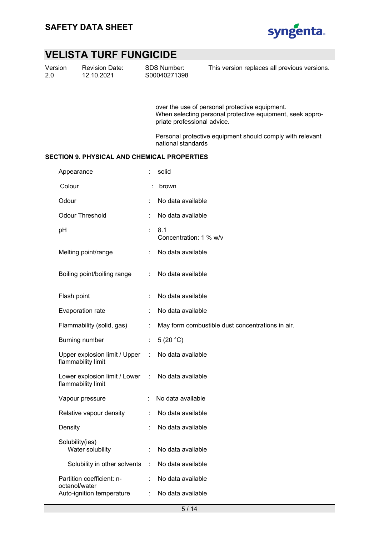

| Version | <b>Revision Date:</b> |
|---------|-----------------------|
| 2.0     | 12.10.2021            |

SDS Number: S00040271398 This version replaces all previous versions.

over the use of personal protective equipment. When selecting personal protective equipment, seek appropriate professional advice.

Personal protective equipment should comply with relevant national standards

## **SECTION 9. PHYSICAL AND CHEMICAL PROPERTIES**

| Appearance                                            |    | solid                                            |
|-------------------------------------------------------|----|--------------------------------------------------|
| Colour                                                |    | brown                                            |
| Odour                                                 |    | No data available                                |
| <b>Odour Threshold</b>                                |    | No data available                                |
| pH                                                    |    | 8.1<br>Concentration: 1 % w/v                    |
| Melting point/range                                   |    | No data available                                |
| Boiling point/boiling range                           | t. | No data available                                |
| Flash point                                           | ÷  | No data available                                |
| Evaporation rate                                      | ÷  | No data available                                |
| Flammability (solid, gas)                             | ÷. | May form combustible dust concentrations in air. |
| Burning number                                        | ÷  | 5 $(20 °C)$                                      |
| Upper explosion limit / Upper :<br>flammability limit |    | No data available                                |
| Lower explosion limit / Lower<br>flammability limit   | ÷  | No data available                                |
| Vapour pressure                                       | ÷  | No data available                                |
| Relative vapour density                               | ÷  | No data available                                |
| Density                                               |    | No data available                                |
| Solubility(ies)<br>Water solubility                   | ÷  | No data available                                |
| Solubility in other solvents                          | ÷. | No data available                                |
| Partition coefficient: n-<br>octanol/water            |    | No data available                                |
| Auto-ignition temperature                             | ÷  | No data available                                |
|                                                       |    |                                                  |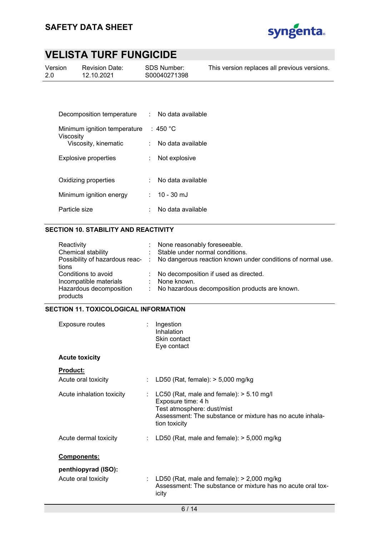

| Version | <b>Revision Date:</b> | SDS Number:  | This version replaces all previous versions. |
|---------|-----------------------|--------------|----------------------------------------------|
| 2.0     | 12.10.2021            | S00040271398 |                                              |
|         |                       |              |                                              |

| Decomposition temperature                 | × 1 | No data available |
|-------------------------------------------|-----|-------------------|
| Minimum ignition temperature<br>Viscosity |     | $\pm$ 450 °C.     |
| Viscosity, kinematic                      |     | No data available |
| <b>Explosive properties</b>               |     | Not explosive     |
| Oxidizing properties                      |     | No data available |
| Minimum ignition energy                   |     | $: 10 - 30$ mJ    |
| Particle size                             |     | No data available |

## **SECTION 10. STABILITY AND REACTIVITY**

| Reactivity              | : None reasonably foreseeable.                                                               |
|-------------------------|----------------------------------------------------------------------------------------------|
| Chemical stability      | : Stable under normal conditions.                                                            |
|                         | Possibility of hazardous reac- : No dangerous reaction known under conditions of normal use. |
| tions                   |                                                                                              |
| Conditions to avoid     | : No decomposition if used as directed.                                                      |
| Incompatible materials  | : None known.                                                                                |
| Hazardous decomposition | : No hazardous decomposition products are known.                                             |
| products                |                                                                                              |

## **SECTION 11. TOXICOLOGICAL INFORMATION**

| Exposure routes                        | $:$ Ingestion<br>Inhalation<br>Skin contact<br>Eye contact                                                                                                                     |
|----------------------------------------|--------------------------------------------------------------------------------------------------------------------------------------------------------------------------------|
| <b>Acute toxicity</b>                  |                                                                                                                                                                                |
| <b>Product:</b><br>Acute oral toxicity | : LD50 (Rat, female): $>$ 5,000 mg/kg                                                                                                                                          |
| Acute inhalation toxicity              | : LC50 (Rat, male and female): $> 5.10$ mg/l<br>Exposure time: 4 h<br>Test atmosphere: dust/mist<br>Assessment: The substance or mixture has no acute inhala-<br>tion toxicity |
| Acute dermal toxicity                  | : LD50 (Rat, male and female): $>$ 5,000 mg/kg                                                                                                                                 |
| <b>Components:</b>                     |                                                                                                                                                                                |
| penthiopyrad (ISO):                    |                                                                                                                                                                                |
| Acute oral toxicity                    | LD50 (Rat, male and female): > 2,000 mg/kg<br>Assessment: The substance or mixture has no acute oral tox-<br>icity                                                             |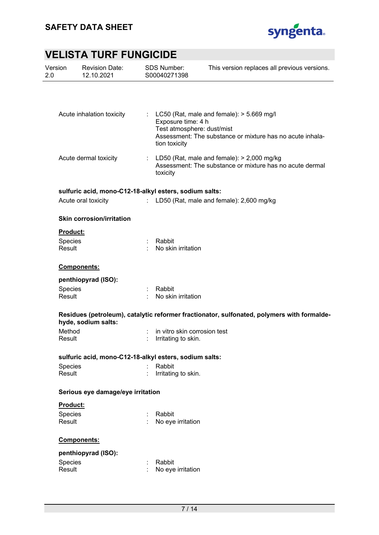

| Version<br>2.0    | <b>Revision Date:</b><br>12.10.2021                    |                             | <b>SDS Number:</b><br>S00040271398                                | This version replaces all previous versions.                                                               |
|-------------------|--------------------------------------------------------|-----------------------------|-------------------------------------------------------------------|------------------------------------------------------------------------------------------------------------|
|                   |                                                        |                             |                                                                   |                                                                                                            |
|                   | Acute inhalation toxicity                              |                             | Exposure time: 4 h<br>Test atmosphere: dust/mist<br>tion toxicity | : LC50 (Rat, male and female): $>$ 5.669 mg/l<br>Assessment: The substance or mixture has no acute inhala- |
|                   | Acute dermal toxicity                                  |                             | toxicity                                                          | : LD50 (Rat, male and female): $>$ 2,000 mg/kg<br>Assessment: The substance or mixture has no acute dermal |
|                   | sulfuric acid, mono-C12-18-alkyl esters, sodium salts: |                             |                                                                   |                                                                                                            |
|                   | Acute oral toxicity                                    | $\mathcal{L}^{\mathcal{L}}$ |                                                                   | LD50 (Rat, male and female): 2,600 mg/kg                                                                   |
|                   | <b>Skin corrosion/irritation</b>                       |                             |                                                                   |                                                                                                            |
| <b>Product:</b>   |                                                        |                             |                                                                   |                                                                                                            |
| Species<br>Result |                                                        |                             | Rabbit<br>No skin irritation                                      |                                                                                                            |
|                   | Components:                                            |                             |                                                                   |                                                                                                            |
|                   | penthiopyrad (ISO):                                    |                             |                                                                   |                                                                                                            |
| Species<br>Result |                                                        |                             | Rabbit<br>No skin irritation                                      |                                                                                                            |
|                   | hyde, sodium salts:                                    |                             |                                                                   | Residues (petroleum), catalytic reformer fractionator, sulfonated, polymers with formalde-                 |
| Method<br>Result  |                                                        |                             | in vitro skin corrosion test<br>Irritating to skin.               |                                                                                                            |
|                   | sulfuric acid, mono-C12-18-alkyl esters, sodium salts: |                             |                                                                   |                                                                                                            |
| Species           |                                                        |                             | Rabbit                                                            |                                                                                                            |
| Result            |                                                        |                             | Irritating to skin.                                               |                                                                                                            |
|                   | Serious eye damage/eye irritation                      |                             |                                                                   |                                                                                                            |
| Product:          |                                                        |                             |                                                                   |                                                                                                            |
| Species           |                                                        |                             | Rabbit                                                            |                                                                                                            |
| Result            |                                                        |                             | No eye irritation                                                 |                                                                                                            |
|                   | Components:                                            |                             |                                                                   |                                                                                                            |
|                   | penthiopyrad (ISO):                                    |                             |                                                                   |                                                                                                            |
| Species<br>Result |                                                        |                             | Rabbit<br>No eye irritation                                       |                                                                                                            |
|                   |                                                        |                             |                                                                   |                                                                                                            |
|                   |                                                        |                             |                                                                   |                                                                                                            |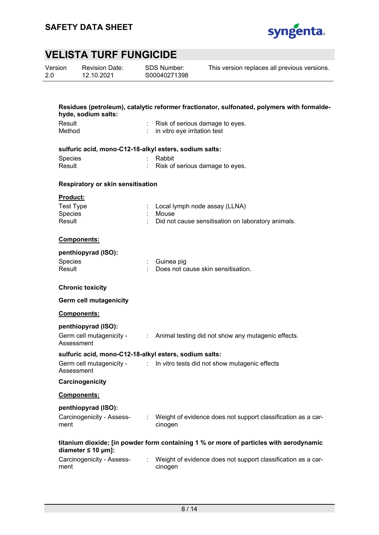

| Version<br>2.0 |                   | <b>Revision Date:</b><br>12.10.2021                    |    | <b>SDS Number:</b><br>S00040271398 | This version replaces all previous versions.                                               |
|----------------|-------------------|--------------------------------------------------------|----|------------------------------------|--------------------------------------------------------------------------------------------|
|                |                   |                                                        |    |                                    |                                                                                            |
|                |                   | hyde, sodium salts:                                    |    |                                    | Residues (petroleum), catalytic reformer fractionator, sulfonated, polymers with formalde- |
|                | Result<br>Method  |                                                        |    | in vitro eye irritation test       | Risk of serious damage to eyes.                                                            |
|                |                   | sulfuric acid, mono-C12-18-alkyl esters, sodium salts: |    |                                    |                                                                                            |
|                | Species<br>Result |                                                        |    | Rabbit                             | Risk of serious damage to eyes.                                                            |
|                |                   | Respiratory or skin sensitisation                      |    |                                    |                                                                                            |
|                | <b>Product:</b>   |                                                        |    |                                    |                                                                                            |
|                | <b>Test Type</b>  |                                                        |    |                                    | Local lymph node assay (LLNA)                                                              |
|                | Species<br>Result |                                                        |    | Mouse                              | Did not cause sensitisation on laboratory animals.                                         |
|                |                   | Components:                                            |    |                                    |                                                                                            |
|                |                   | penthiopyrad (ISO):                                    |    |                                    |                                                                                            |
|                | Species<br>Result |                                                        |    | Guinea pig                         | Does not cause skin sensitisation.                                                         |
|                |                   | <b>Chronic toxicity</b>                                |    |                                    |                                                                                            |
|                |                   | <b>Germ cell mutagenicity</b>                          |    |                                    |                                                                                            |
|                |                   | <b>Components:</b>                                     |    |                                    |                                                                                            |
|                | Assessment        | penthiopyrad (ISO):<br>Germ cell mutagenicity -        | ÷. |                                    | Animal testing did not show any mutagenic effects.                                         |
|                |                   | sulfuric acid, mono-C12-18-alkyl esters, sodium salts: |    |                                    |                                                                                            |
|                | Assessment        | Germ cell mutagenicity -                               | ٠. |                                    | In vitro tests did not show mutagenic effects                                              |
|                |                   | Carcinogenicity                                        |    |                                    |                                                                                            |
|                |                   | <b>Components:</b>                                     |    |                                    |                                                                                            |
|                | ment              | penthiopyrad (ISO):<br>Carcinogenicity - Assess-       |    | cinogen                            | Weight of evidence does not support classification as a car-                               |
|                |                   | diameter $\leq 10$ µm]:                                |    |                                    | titanium dioxide; [in powder form containing 1 % or more of particles with aerodynamic     |
|                | ment              | Carcinogenicity - Assess-                              |    | cinogen                            | Weight of evidence does not support classification as a car-                               |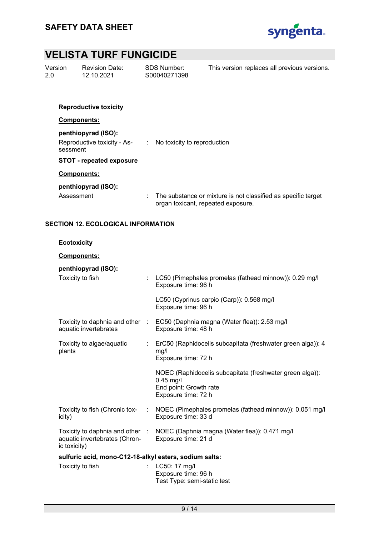

| Version | R  |
|---------|----|
| 2.0     | 1: |

**Revision Date:** 12.10.2021

SDS Number: S00040271398 This version replaces all previous versions.

# **Reproductive toxicity Components: penthiopyrad (ISO):**  Reproductive toxicity - Assessment : No toxicity to reproduction **STOT - repeated exposure Components: penthiopyrad (ISO):**  Assessment : The substance or mixture is not classified as specific target

organ toxicant, repeated exposure.

## **SECTION 12. ECOLOGICAL INFORMATION**

### **Ecotoxicity**

## **Components:**

# **penthiopyrad (ISO):**

| Toxicity to fish                                       | LC50 (Pimephales promelas (fathead minnow)): 0.29 mg/l<br>Exposure time: 96 h                                            |
|--------------------------------------------------------|--------------------------------------------------------------------------------------------------------------------------|
|                                                        | LC50 (Cyprinus carpio (Carp)): 0.568 mg/l<br>Exposure time: 96 h                                                         |
| aquatic invertebrates                                  | Toxicity to daphnia and other : EC50 (Daphnia magna (Water flea)): 2.53 mg/l<br>Exposure time: 48 h                      |
| Toxicity to algae/aquatic<br>plants                    | : ErC50 (Raphidocelis subcapitata (freshwater green alga)): 4<br>mg/l<br>Exposure time: 72 h                             |
|                                                        | NOEC (Raphidocelis subcapitata (freshwater green alga)):<br>$0.45$ mg/l<br>End point: Growth rate<br>Exposure time: 72 h |
| Toxicity to fish (Chronic tox-<br>icity)               | : NOEC (Pimephales promelas (fathead minnow)): 0.051 mg/l<br>Exposure time: 33 d                                         |
| aquatic invertebrates (Chron-<br>ic toxicity)          | Toxicity to daphnia and other : NOEC (Daphnia magna (Water flea)): 0.471 mg/l<br>Exposure time: 21 d                     |
| sulfuric acid, mono-C12-18-alkyl esters, sodium salts: |                                                                                                                          |
| Toxicity to fish                                       | LC50: 17 mg/l<br>Exposure time: 96 h<br>Test Type: semi-static test                                                      |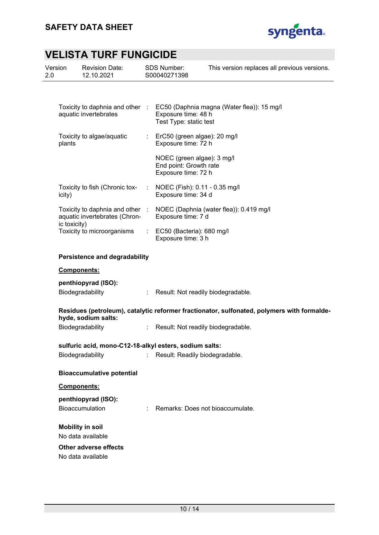

| Version<br>2.0 |              | <b>Revision Date:</b><br>12.10.2021                              |    | <b>SDS Number:</b><br>S00040271398                                          | This version replaces all previous versions.                                               |
|----------------|--------------|------------------------------------------------------------------|----|-----------------------------------------------------------------------------|--------------------------------------------------------------------------------------------|
|                |              |                                                                  |    |                                                                             |                                                                                            |
|                |              | aquatic invertebrates                                            |    | Exposure time: 48 h<br>Test Type: static test                               | Toxicity to daphnia and other : EC50 (Daphnia magna (Water flea)): 15 mg/l                 |
|                | plants       | Toxicity to algae/aquatic                                        |    | : ErC50 (green algae): $20$ mg/l<br>Exposure time: 72 h                     |                                                                                            |
|                |              |                                                                  |    | NOEC (green algae): 3 mg/l<br>End point: Growth rate<br>Exposure time: 72 h |                                                                                            |
|                | icity)       | Toxicity to fish (Chronic tox-                                   |    | NOEC (Fish): 0.11 - 0.35 mg/l<br>Exposure time: 34 d                        |                                                                                            |
|                |              | Toxicity to daphnia and other :<br>aquatic invertebrates (Chron- |    | Exposure time: 7 d                                                          | NOEC (Daphnia (water flea)): 0.419 mg/l                                                    |
|                | ic toxicity) | Toxicity to microorganisms                                       |    | $\therefore$ EC50 (Bacteria): 680 mg/l<br>Exposure time: 3 h                |                                                                                            |
|                |              | <b>Persistence and degradability</b>                             |    |                                                                             |                                                                                            |
|                | Components:  |                                                                  |    |                                                                             |                                                                                            |
|                |              | penthiopyrad (ISO):                                              |    |                                                                             |                                                                                            |
|                |              | Biodegradability                                                 | ÷. | Result: Not readily biodegradable.                                          |                                                                                            |
|                |              | hyde, sodium salts:                                              |    |                                                                             | Residues (petroleum), catalytic reformer fractionator, sulfonated, polymers with formalde- |
|                |              | Biodegradability                                                 | t. | Result: Not readily biodegradable.                                          |                                                                                            |
|                |              | sulfuric acid, mono-C12-18-alkyl esters, sodium salts:           |    |                                                                             |                                                                                            |
|                |              | Biodegradability                                                 |    | : Result: Readily biodegradable.                                            |                                                                                            |
|                |              | <b>Bioaccumulative potential</b>                                 |    |                                                                             |                                                                                            |
|                | Components:  |                                                                  |    |                                                                             |                                                                                            |
|                |              | penthiopyrad (ISO):<br>Bioaccumulation                           |    | Remarks: Does not bioaccumulate.                                            |                                                                                            |
|                |              | <b>Mobility in soil</b><br>No data available                     |    |                                                                             |                                                                                            |
|                |              | Other adverse effects<br>No data available                       |    |                                                                             |                                                                                            |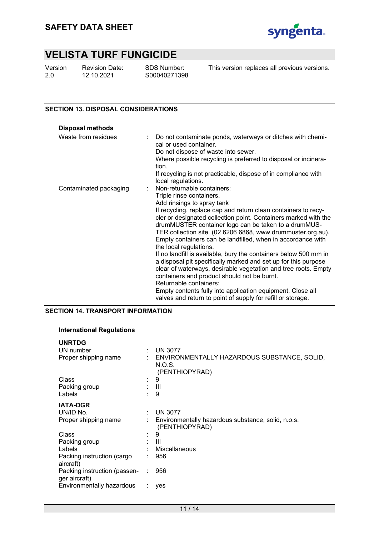

Version 2.0

Revision Date: 12.10.2021

SDS Number: S00040271398

This version replaces all previous versions.

### **SECTION 13. DISPOSAL CONSIDERATIONS**

| <b>Disposal methods</b> |    |                                                                                                                                                                                                                                                                                                                                                  |
|-------------------------|----|--------------------------------------------------------------------------------------------------------------------------------------------------------------------------------------------------------------------------------------------------------------------------------------------------------------------------------------------------|
| Waste from residues     | t. | Do not contaminate ponds, waterways or ditches with chemi-<br>cal or used container.<br>Do not dispose of waste into sewer.<br>Where possible recycling is preferred to disposal or incinera-<br>tion.<br>If recycling is not practicable, dispose of in compliance with                                                                         |
|                         |    | local regulations.                                                                                                                                                                                                                                                                                                                               |
| Contaminated packaging  |    | Non-returnable containers:                                                                                                                                                                                                                                                                                                                       |
|                         |    | Triple rinse containers.                                                                                                                                                                                                                                                                                                                         |
|                         |    | Add rinsings to spray tank                                                                                                                                                                                                                                                                                                                       |
|                         |    | If recycling, replace cap and return clean containers to recy-<br>cler or designated collection point. Containers marked with the<br>drumMUSTER container logo can be taken to a drumMUS-<br>TER collection site (02 6206 6868, www.drummuster.org.au).<br>Empty containers can be landfilled, when in accordance with<br>the local regulations. |
|                         |    | If no landfill is available, bury the containers below 500 mm in<br>a disposal pit specifically marked and set up for this purpose                                                                                                                                                                                                               |
|                         |    | clear of waterways, desirable vegetation and tree roots. Empty<br>containers and product should not be burnt.                                                                                                                                                                                                                                    |
|                         |    | Returnable containers:                                                                                                                                                                                                                                                                                                                           |
|                         |    | Empty contents fully into application equipment. Close all<br>valves and return to point of supply for refill or storage.                                                                                                                                                                                                                        |

## **SECTION 14. TRANSPORT INFORMATION**

### **International Regulations**

| <b>UNRTDG</b>                                 |                                                                         |
|-----------------------------------------------|-------------------------------------------------------------------------|
| UN number                                     | <b>UN 3077</b>                                                          |
| Proper shipping name                          | ENVIRONMENTALLY HAZARDOUS SUBSTANCE, SOLID,<br>N.O.S.<br>(PENTHIOPYRAD) |
| Class                                         | 9                                                                       |
| Packing group                                 | : III                                                                   |
| Labels                                        | 9                                                                       |
| <b>IATA-DGR</b>                               |                                                                         |
| UN/ID No.                                     | <b>UN 3077</b>                                                          |
| Proper shipping name                          | Environmentally hazardous substance, solid, n.o.s.<br>(PENTHIOPYRAD)    |
| Class                                         | 9                                                                       |
| Packing group                                 | : III                                                                   |
| Labels                                        | Miscellaneous                                                           |
| Packing instruction (cargo<br>aircraft)       | 956                                                                     |
| Packing instruction (passen-<br>ger aircraft) | 956                                                                     |
| Environmentally hazardous                     | yes                                                                     |
|                                               |                                                                         |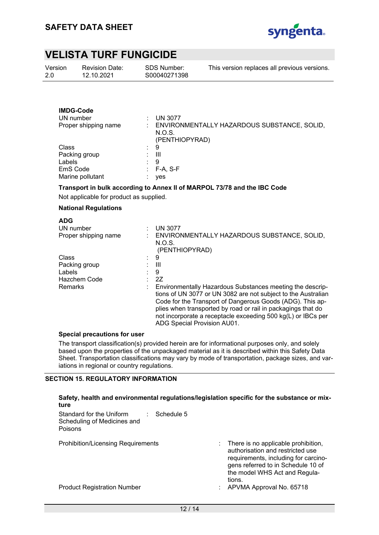

| Version<br>2.0 | <b>Revision Date:</b><br>12.10.2021                   | <b>SDS Number:</b><br>S00040271398         | This version replaces all previous versions. |
|----------------|-------------------------------------------------------|--------------------------------------------|----------------------------------------------|
|                | <b>IMDG-Code</b><br>UN number<br>Proper shipping name | <b>UN 3077</b><br>N.O.S.<br>(PENTHIOPYRAD) | ENVIRONMENTALLY HAZARDOUS SUBSTANCE, SOLID,  |
| Class          |                                                       | 9<br>٠                                     |                                              |

| Class            | : 9                   |  |
|------------------|-----------------------|--|
| Packing group    | : III                 |  |
| Labels           | $\cdot$ 9             |  |
| EmS Code         | $\therefore$ F-A. S-F |  |
| Marine pollutant | ves                   |  |

#### **Transport in bulk according to Annex II of MARPOL 73/78 and the IBC Code**

Not applicable for product as supplied.

#### **National Regulations**

| ENVIRONMENTALLY HAZARDOUS SUBSTANCE, SOLID,                   |
|---------------------------------------------------------------|
|                                                               |
|                                                               |
|                                                               |
|                                                               |
|                                                               |
|                                                               |
|                                                               |
|                                                               |
| : Environmentally Hazardous Substances meeting the descrip-   |
| tions of UN 3077 or UN 3082 are not subject to the Australian |
| Code for the Transport of Dangerous Goods (ADG). This ap-     |
| plies when transported by road or rail in packagings that do  |
| not incorporate a receptacle exceeding 500 kg(L) or IBCs per  |
|                                                               |
|                                                               |

#### **Special precautions for user**

The transport classification(s) provided herein are for informational purposes only, and solely based upon the properties of the unpackaged material as it is described within this Safety Data Sheet. Transportation classifications may vary by mode of transportation, package sizes, and variations in regional or country regulations.

#### **SECTION 15. REGULATORY INFORMATION**

### **Safety, health and environmental regulations/legislation specific for the substance or mixture**  Standard for the Uniform Scheduling of Medicines and Poisons : Schedule 5 Prohibition/Licensing Requirements : There is no applicable prohibition, authorisation and restricted use requirements, including for carcinogens referred to in Schedule 10 of the model WHS Act and Regulations. Product Registration Number **1992** CHA 2010 12: APVMA Approval No. 65718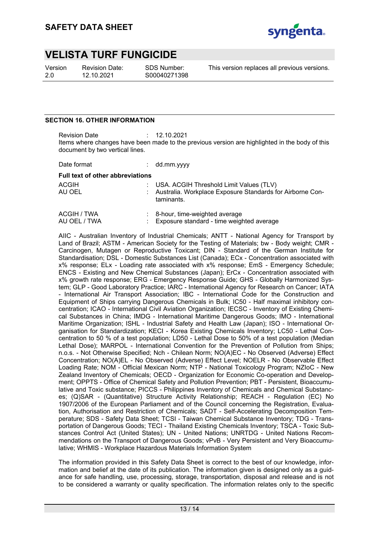

Version 2.0

Revision Date: 12.10.2021

SDS Number: S00040271398 This version replaces all previous versions.

### **SECTION 16. OTHER INFORMATION**

Revision Date : 12.10.2021 Items where changes have been made to the previous version are highlighted in the body of this document by two vertical lines.

| Date format                             | $:$ dd.mm.yyyy                                                            |
|-----------------------------------------|---------------------------------------------------------------------------|
| <b>Full text of other abbreviations</b> |                                                                           |
| ACGIH                                   | : USA. ACGIH Threshold Limit Values (TLV)                                 |
| AU OEL                                  | : Australia. Workplace Exposure Standards for Airborne Con-<br>taminants. |

| ACGIH / TWA  | : 8-hour, time-weighted average             |
|--------------|---------------------------------------------|
| AU OEL / TWA | : Exposure standard - time weighted average |

AIIC - Australian Inventory of Industrial Chemicals; ANTT - National Agency for Transport by Land of Brazil; ASTM - American Society for the Testing of Materials; bw - Body weight; CMR - Carcinogen, Mutagen or Reproductive Toxicant; DIN - Standard of the German Institute for Standardisation; DSL - Domestic Substances List (Canada); ECx - Concentration associated with x% response; ELx - Loading rate associated with x% response; EmS - Emergency Schedule; ENCS - Existing and New Chemical Substances (Japan); ErCx - Concentration associated with x% growth rate response; ERG - Emergency Response Guide; GHS - Globally Harmonized System; GLP - Good Laboratory Practice; IARC - International Agency for Research on Cancer; IATA - International Air Transport Association; IBC - International Code for the Construction and Equipment of Ships carrying Dangerous Chemicals in Bulk; IC50 - Half maximal inhibitory concentration; ICAO - International Civil Aviation Organization; IECSC - Inventory of Existing Chemical Substances in China; IMDG - International Maritime Dangerous Goods; IMO - International Maritime Organization; ISHL - Industrial Safety and Health Law (Japan); ISO - International Organisation for Standardization; KECI - Korea Existing Chemicals Inventory; LC50 - Lethal Concentration to 50 % of a test population; LD50 - Lethal Dose to 50% of a test population (Median Lethal Dose); MARPOL - International Convention for the Prevention of Pollution from Ships; n.o.s. - Not Otherwise Specified; Nch - Chilean Norm; NO(A)EC - No Observed (Adverse) Effect Concentration; NO(A)EL - No Observed (Adverse) Effect Level; NOELR - No Observable Effect Loading Rate; NOM - Official Mexican Norm; NTP - National Toxicology Program; NZIoC - New Zealand Inventory of Chemicals; OECD - Organization for Economic Co-operation and Development; OPPTS - Office of Chemical Safety and Pollution Prevention; PBT - Persistent, Bioaccumulative and Toxic substance; PICCS - Philippines Inventory of Chemicals and Chemical Substances; (Q)SAR - (Quantitative) Structure Activity Relationship; REACH - Regulation (EC) No 1907/2006 of the European Parliament and of the Council concerning the Registration, Evaluation, Authorisation and Restriction of Chemicals; SADT - Self-Accelerating Decomposition Temperature; SDS - Safety Data Sheet; TCSI - Taiwan Chemical Substance Inventory; TDG - Transportation of Dangerous Goods; TECI - Thailand Existing Chemicals Inventory; TSCA - Toxic Substances Control Act (United States); UN - United Nations; UNRTDG - United Nations Recommendations on the Transport of Dangerous Goods; vPvB - Very Persistent and Very Bioaccumulative; WHMIS - Workplace Hazardous Materials Information System

The information provided in this Safety Data Sheet is correct to the best of our knowledge, information and belief at the date of its publication. The information given is designed only as a guidance for safe handling, use, processing, storage, transportation, disposal and release and is not to be considered a warranty or quality specification. The information relates only to the specific